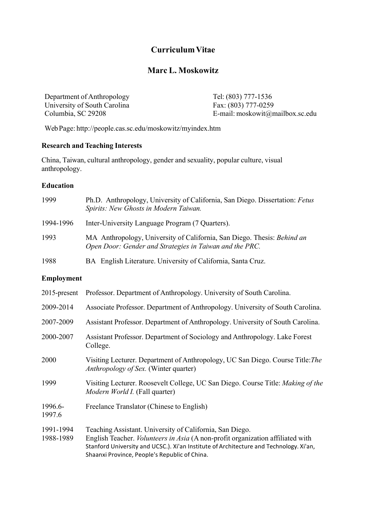# **CurriculumVitae**

# **Marc L. Moskowitz**

Department of Anthropology Tel: (803) 777-1536 University of South Carolina<br>
Columbia SC 29208<br>
F-mail: moskowit@n

 $E$ -mail: moskowit@mailbox.sc.edu

WebPage: http://people.cas.sc.edu/moskowitz/myindex.htm

## **Research and Teaching Interests**

China, Taiwan, cultural anthropology, gender and sexuality, popular culture, visual anthropology.

## **Education**

| 1999       | Ph.D. Anthropology, University of California, San Diego. Dissertation: Fetus<br>Spirits: New Ghosts in Modern Taiwan.              |
|------------|------------------------------------------------------------------------------------------------------------------------------------|
| 1994-1996  | Inter-University Language Program (7 Quarters).                                                                                    |
| 1993       | MA Anthropology, University of California, San Diego. Thesis: Behind an<br>Open Door: Gender and Strategies in Taiwan and the PRC. |
| 1988       | BA English Literature. University of California, Santa Cruz.                                                                       |
| Employment |                                                                                                                                    |

|  | 2015-present Professor. Department of Anthropology. University of South Carolina. |  |
|--|-----------------------------------------------------------------------------------|--|
|--|-----------------------------------------------------------------------------------|--|

- 2009-2014 Associate Professor. Department of Anthropology. University of South Carolina.
- 2007-2009 Assistant Professor. Department of Anthropology. University of South Carolina.
- 2000-2007 Assistant Professor. Department of Sociology and Anthropology. Lake Forest College.
- 2000 Visiting Lecturer. Department of Anthropology, UC San Diego. Course Title:*The Anthropology of Sex.* (Winter quarter)
- 1999 Visiting Lecturer. Roosevelt College, UC San Diego. Course Title: *Making of the Modern World I.* (Fall quarter)
- 1996.6- Freelance Translator (Chinese to English)
- 1997.6
- 1991-1994 Teaching Assistant. University of California, San Diego.

## 1988-1989 English Teacher. *Volunteers in Asia* (A non-profit organization affiliated with Stanford University and UCSC.). Xi'an Institute of Architecture and Technology. Xi'an, Shaanxi Province, People's Republic of China.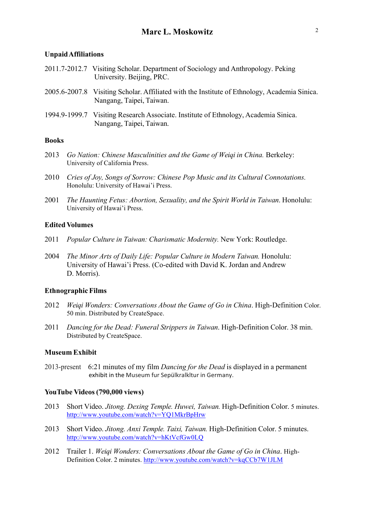#### **UnpaidAffiliations**

| 2011.7-2012.7 Visiting Scholar. Department of Sociology and Anthropology. Peking<br>University. Beijing, PRC.            |
|--------------------------------------------------------------------------------------------------------------------------|
| 2005.6-2007.8 Visiting Scholar. Affiliated with the Institute of Ethnology, Academia Sinica.<br>Nangang, Taipei, Taiwan. |
| 1994.9-1999.7 Visiting Research Associate. Institute of Ethnology, Academia Sinica.<br>Nangang, Taipei, Taiwan.          |

### **Books**

- 2013 *Go Nation: Chinese Masculinities and the Game of Weiqi in China.* Berkeley: University of California Press.
- 2010 *Cries of Joy, Songs of Sorrow: Chinese Pop Music and its Cultural Connotations.* Honolulu: University of Hawai'i Press.
- 2001 *The Haunting Fetus: Abortion, Sexuality, and the Spirit World in Taiwan*. Honolulu: University of Hawai'i Press.

### **Edited Volumes**

- 2011 *Popular Culture in Taiwan: Charismatic Modernity.* New York: Routledge.
- 2004 *The Minor Arts of Daily Life: Popular Culture in Modern Taiwan.* Honolulu: University of Hawai'i Press. (Co-edited with David K. Jordan and Andrew D. Morris).

#### **Ethnographic Films**

- 2012 *Weiqi Wonders: Conversations About the Game of Go in China*. High-Definition Color. 50 min. Distributed by CreateSpace.
- 2011 *Dancing for the Dead: Funeral Strippers in Taiwan*. High-Definition Color. 38 min. Distributed by CreateSpace.

### **Museum Exhibit**

2013-present 6:21 minutes of my film *Dancing for the Dead* is displayed in a permanent exhibit in the Museum fur Sepülkralkltur in Germany.

#### **YouTube Videos (790,000 views)**

- 2013 Short Video. *Jitong. Dexing Temple. Huwei, Taiwan.* High-Definition Color. 5 minutes. http://www.youtube.com/watch?v=YQ1MkrBpHrw
- 2013 Short Video. *Jitong. Anxi Temple. Taixi, Taiwan.* High-Definition Color. 5 minutes. http://www.youtube.com/watch?v=hKtVcfGw0LQ
- 2012 Trailer 1. *Weiqi Wonders: Conversations About the Game of Go in China*. High-Definition Color. 2 minutes. http://www.youtube.com/watch?v=kqCCb7W1JLM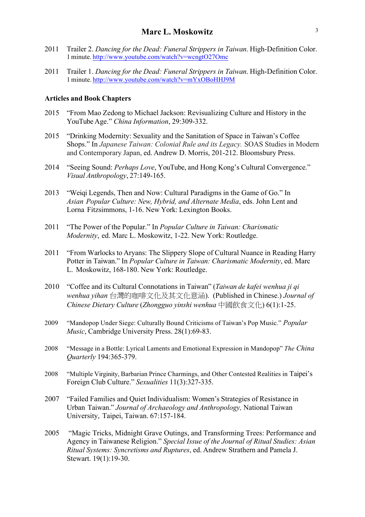- 2011 Trailer 2. *Dancing for the Dead: Funeral Strippers in Taiwan*. High-Definition Color. 1 minute. http://www.youtube.com/watch?v=wcngtO27Omc
- 2011 Trailer 1. *Dancing for the Dead: Funeral Strippers in Taiwan*. High-Definition Color. 1 minute. http://www.youtube.com/watch?v=mYxOBoHHJ9M

#### **Articles and Book Chapters**

- 2015 "From Mao Zedong to Michael Jackson: Revisualizing Culture and History in the YouTube Age." *China Information*, 29:309-332.
- 2015 "Drinking Modernity: Sexuality and the Sanitation of Space in Taiwan's Coffee Shops." In *Japanese Taiwan: Colonial Rule and its Legacy.* SOAS Studies in Modern and Contemporary Japan, ed. Andrew D. Morris, 201-212. Bloomsbury Press.
- 2014 "Seeing Sound: *Perhaps Love*, YouTube, and Hong Kong's Cultural Convergence." *Visual Anthropology*, 27:149-165.
- 2013 "Weiqi Legends, Then and Now: Cultural Paradigms in the Game of Go." In *Asian Popular Culture: New, Hybrid, and Alternate Media*, eds. John Lent and Lorna Fitzsimmons, 1-16. New York: Lexington Books.
- 2011 "The Power of the Popular." In *Popular Culture in Taiwan: Charismatic Modernity*, ed. Marc L. Moskowitz, 1-22. New York: Routledge.
- 2011 "From Warlocks to Aryans: The Slippery Slope of Cultural Nuance in Reading Harry Potter in Taiwan." In *Popular Culture in Taiwan: Charismatic Modernity*, ed. Marc L. Moskowitz, 168-180. New York: Routledge.
- 2010 "Coffee and its Cultural Connotations in Taiwan" (*Taiwan de kafei wenhua ji qi wenhua yihan* 台灣的咖啡文化及其文化意涵). (Published in Chinese.) *Journal of Chinese Dietary Culture* (*Zhongguo yinshi wenhua* 中國飲食文化) 6(1):1-25.
- 2009 "Mandopop Under Siege: Culturally Bound Criticisms of Taiwan's Pop Music." *Popular Music*, Cambridge University Press. 28(1):69-83.
- 2008 "Message in a Bottle: Lyrical Laments and Emotional Expression in Mandopop" *The China Quarterly* 194:365-379.
- 2008 "Multiple Virginity, Barbarian Prince Charmings, and Other Contested Realities in Taipei's Foreign Club Culture." *Sexualities* 11(3):327-335.
- 2007 "Failed Families and Quiet Individualism: Women's Strategies of Resistance in Urban Taiwan." *Journal of Archaeology and Anthropology,* National Taiwan University, Taipei, Taiwan. 67:157-184.
- 2005 "Magic Tricks, Midnight Grave Outings, and Transforming Trees: Performance and Agency in Taiwanese Religion." *Special Issue of the Journal of Ritual Studies: Asian Ritual Systems: Syncretisms and Ruptures*, ed. Andrew Strathern and Pamela J. Stewart. 19(1):19-30.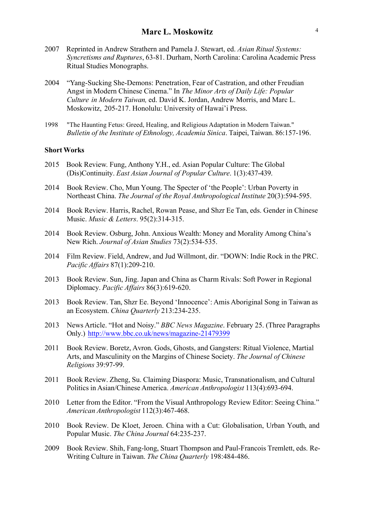- 2007 Reprinted in Andrew Strathern and Pamela J. Stewart, ed. *Asian Ritual Systems: Syncretisms and Ruptures*, 63-81. Durham, North Carolina: Carolina Academic Press Ritual Studies Monographs.
- 2004 "Yang-Sucking She-Demons: Penetration, Fear of Castration, and other Freudian Angst in Modern Chinese Cinema." In *The Minor Arts of Daily Life: Popular Culture in Modern Taiwan,* ed. David K. Jordan, Andrew Morris, and Marc L. Moskowitz, 205-217. Honolulu: University of Hawai'i Press.
- 1998 "The Haunting Fetus: Greed, Healing, and Religious Adaptation in Modern Taiwan." *Bulletin of the Institute of Ethnology, Academia Sinica*. Taipei, Taiwan. 86:157-196.

#### **ShortWorks**

- 2015 Book Review. Fung, Anthony Y.H., ed. Asian Popular Culture: The Global (Dis)Continuity. *East Asian Journal of Popular Culture*. 1(3):437-439.
- 2014 Book Review. Cho, Mun Young. The Specter of 'the People': Urban Poverty in Northeast China. *The Journal of the Royal Anthropological Institute* 20(3):594-595.
- 2014 Book Review. Harris, Rachel, Rowan Pease, and Shzr Ee Tan, eds. Gender in Chinese Music. *Music & Letters*. 95(2):314-315.
- 2014 Book Review. Osburg, John. Anxious Wealth: Money and Morality Among China's New Rich. *Journal of Asian Studies* 73(2):534-535.
- 2014 Film Review. Field, Andrew, and Jud Willmont, dir. "DOWN: Indie Rock in the PRC. *Pacific Affairs* 87(1):209-210.
- 2013 Book Review. Sun, Jing. Japan and China as Charm Rivals: Soft Power in Regional Diplomacy. *Pacific Affairs* 86(3):619-620.
- 2013 Book Review. Tan, Shzr Ee. Beyond 'Innocence': Amis Aboriginal Song in Taiwan as an Ecosystem. *China Quarterly* 213:234-235.
- 2013 News Article. "Hot and Noisy." *BBC News Magazine*. February 25. (Three Paragraphs Only.) http://www.bbc.co.uk/news/magazine-21479399
- 2011 Book Review. Boretz, Avron. Gods, Ghosts, and Gangsters: Ritual Violence, Martial Arts, and Masculinity on the Margins of Chinese Society. *The Journal of Chinese Religions* 39:97-99.
- 2011 Book Review. Zheng, Su. Claiming Diaspora: Music, Transnationalism, and Cultural Politics in Asian/Chinese America. *American Anthropologist* 113(4):693-694.
- 2010 Letter from the Editor. "From the Visual Anthropology Review Editor: Seeing China." *American Anthropologist* 112(3):467-468.
- 2010 Book Review. De Kloet, Jeroen. China with a Cut: Globalisation, Urban Youth, and Popular Music. *The China Journal* 64:235-237.
- 2009 Book Review. Shih, Fang-long, Stuart Thompson and Paul-Francois Tremlett, eds. Re-Writing Culture in Taiwan. *The China Quarterly* 198:484-486.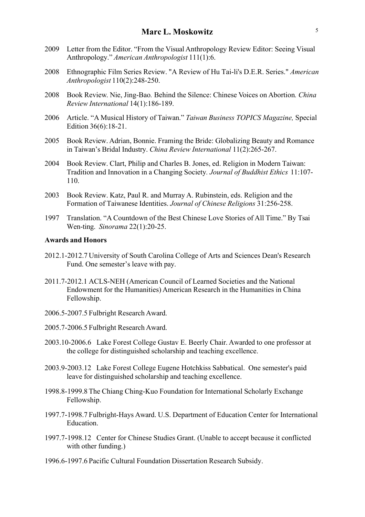- 2009 Letter from the Editor. "From the Visual Anthropology Review Editor: Seeing Visual Anthropology." *American Anthropologist* 111(1):6.
- 2008 Ethnographic Film Series Review. "A Review of Hu Tai-li's D.E.R. Series." *American Anthropologist* 110(2):248-250.
- 2008 Book Review. Nie, Jing-Bao*.* Behind the Silence: Chinese Voices on Abortion*. China Review International* 14(1):186-189.
- 2006 Article. "A Musical History of Taiwan." *Taiwan Business TOPICS Magazine,* Special Edition 36(6):18-21.
- 2005 Book Review. Adrian, Bonnie. Framing the Bride: Globalizing Beauty and Romance in Taiwan's Bridal Industry. *China Review International* 11(2):265-267.
- 2004 Book Review. Clart, Philip and Charles B. Jones, ed. Religion in Modern Taiwan: Tradition and Innovation in a Changing Society*. Journal of Buddhist Ethics* 11:107- 110.
- 2003 Book Review. Katz, Paul R. and Murray A. Rubinstein, eds. Religion and the Formation of Taiwanese Identities. *Journal of Chinese Religions* 31:256-258.
- 1997 Translation. "A Countdown of the Best Chinese Love Stories of All Time." By Tsai Wen-ting. *Sinorama* 22(1):20-25.

## **Awards and Honors**

- 2012.1-2012.7 University of South Carolina College of Arts and Sciences Dean's Research Fund. One semester's leave with pay.
- 2011.7-2012.1 ACLS-NEH (American Council of Learned Societies and the National Endowment for the Humanities) American Research in the Humanities in China Fellowship.
- 2006.5-2007.5 Fulbright Research Award.
- 2005.7-2006.5 Fulbright Research Award.
- 2003.10-2006.6 Lake Forest College Gustav E. Beerly Chair. Awarded to one professor at the college for distinguished scholarship and teaching excellence.
- 2003.9-2003.12 Lake Forest College Eugene Hotchkiss Sabbatical. One semester's paid leave for distinguished scholarship and teaching excellence.
- 1998.8-1999.8 The Chiang Ching-Kuo Foundation for International Scholarly Exchange Fellowship.
- 1997.7-1998.7 Fulbright-Hays Award. U.S. Department of Education Center for International **Education**
- 1997.7-1998.12 Center for Chinese Studies Grant. (Unable to accept because it conflicted with other funding.)
- 1996.6-1997.6 Pacific Cultural Foundation Dissertation Research Subsidy.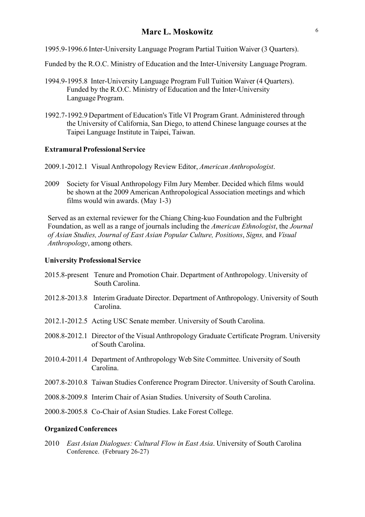1995.9-1996.6 Inter-University Language Program Partial Tuition Waiver (3 Quarters).

Funded by the R.O.C. Ministry of Education and the Inter-University Language Program.

- 1994.9-1995.8 Inter-University Language Program Full Tuition Waiver (4 Quarters). Funded by the R.O.C. Ministry of Education and the Inter-University Language Program.
- 1992.7-1992.9 Department of Education's Title VI Program Grant. Administered through the University of California, San Diego, to attend Chinese language courses at the Taipei Language Institute in Taipei, Taiwan.

### **Extramural Professional Service**

- 2009.1-2012.1 Visual Anthropology Review Editor, *American Anthropologist*.
- 2009 Society for Visual Anthropology Film Jury Member. Decided which films would be shown at the 2009 American Anthropological Association meetings and which films would win awards. (May 1-3)

Served as an external reviewer for the Chiang Ching-kuo Foundation and the Fulbright Foundation, as well as a range of journals including the *American Ethnologist*, the *Journal of Asian Studies, Journal of East Asian Popular Culture, Positions*, *Signs,* and *Visual Anthropology*, among others.

## **University Professional Service**

- 2015.8-present Tenure and Promotion Chair. Department of Anthropology. University of South Carolina.
- 2012.8-2013.8 Interim Graduate Director. Department of Anthropology. University of South Carolina.
- 2012.1-2012.5 Acting USC Senate member. University of South Carolina.
- 2008.8-2012.1 Director of the Visual Anthropology Graduate Certificate Program. University of South Carolina.
- 2010.4-2011.4 Department of Anthropology Web Site Committee. University of South Carolina.
- 2007.8-2010.8 Taiwan Studies Conference Program Director. University of South Carolina.
- 2008.8-2009.8 Interim Chair of Asian Studies. University of South Carolina.
- 2000.8-2005.8 Co-Chair of Asian Studies. Lake Forest College.

#### **OrganizedConferences**

2010 *East Asian Dialogues: Cultural Flow in East Asia*. University of South Carolina Conference. (February 26-27)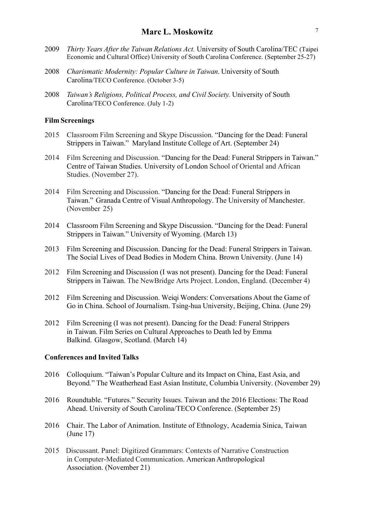- 2009 *Thirty Years After the Taiwan Relations Act.* University of South Carolina/TEC (Taipei Economic and Cultural Office) University of South Carolina Conference. (September 25-27)
- 2008 *Charismatic Modernity: Popular Culture in Taiwan*. University of South Carolina/TECO Conference. (October 3-5)
- 2008 *Taiwan's Religions, Political Process, and Civil Society.* University of South Carolina/TECO Conference. (July 1-2)

### **Film Screenings**

- 2015 Classroom Film Screening and Skype Discussion. "Dancing for the Dead: Funeral Strippers in Taiwan." Maryland Institute College of Art. (September 24)
- 2014 Film Screening and Discussion. "Dancing for the Dead: Funeral Strippers in Taiwan." Centre of Taiwan Studies. University of London School of Oriental and African Studies. (November 27).
- 2014 Film Screening and Discussion. "Dancing for the Dead: Funeral Strippers in Taiwan." Granada Centre of Visual Anthropology. The University of Manchester. (November 25)
- 2014 Classroom Film Screening and Skype Discussion. "Dancing for the Dead: Funeral Strippers in Taiwan." University of Wyoming. (March 13)
- 2013 Film Screening and Discussion. Dancing for the Dead: Funeral Strippers in Taiwan. The Social Lives of Dead Bodies in Modern China. Brown University. (June 14)
- 2012 Film Screening and Discussion (I was not present). Dancing for the Dead: Funeral Strippers in Taiwan. The NewBridge Arts Project. London, England. (December 4)
- 2012 Film Screening and Discussion. Weiqi Wonders: Conversations About the Game of Go in China. School of Journalism. Tsing-hua University, Beijing, China. (June 29)
- 2012 Film Screening (I was not present). Dancing for the Dead: Funeral Strippers in Taiwan. Film Series on Cultural Approaches to Death led by Emma Balkind. Glasgow, Scotland. (March 14)

### **Conferences and Invited Talks**

- 2016 Colloquium. "Taiwan's Popular Culture and its Impact on China, East Asia, and Beyond*.*" The Weatherhead East Asian Institute, Columbia University. (November 29)
- 2016 Roundtable. "Futures." Security Issues. Taiwan and the 2016 Elections: The Road Ahead. University of South Carolina/TECO Conference. (September 25)
- 2016 Chair. The Labor of Animation. Institute of Ethnology, Academia Sinica, Taiwan (June 17)
- 2015 Discussant. Panel: Digitized Grammars: Contexts of Narrative Construction in Computer-Mediated Communication. American Anthropological Association. (November 21)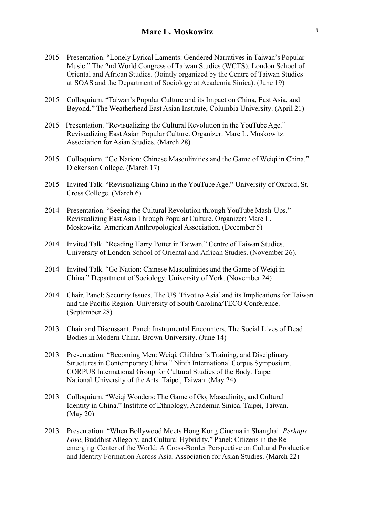- 2015 Presentation. "Lonely Lyrical Laments: Gendered Narratives in Taiwan's Popular Music." The 2nd World Congress of Taiwan Studies (WCTS). London School of Oriental and African Studies. (Jointly organized by the Centre of Taiwan Studies at SOAS and the Department of Sociology at Academia Sinica). (June 19)
- 2015 Colloquium. "Taiwan's Popular Culture and its Impact on China, East Asia, and Beyond*.*" The Weatherhead East Asian Institute, Columbia University. (April 21)
- 2015 Presentation. "Revisualizing the Cultural Revolution in the YouTube Age." Revisualizing East Asian Popular Culture. Organizer: Marc L. Moskowitz. Association for Asian Studies. (March 28)
- 2015 Colloquium. "Go Nation: Chinese Masculinities and the Game of Weiqi in China*.*" Dickenson College. (March 17)
- 2015 Invited Talk. "Revisualizing China in the YouTube Age." University of Oxford, St. Cross College. (March 6)
- 2014 Presentation. "Seeing the Cultural Revolution through YouTube Mash-Ups." Revisualizing East Asia Through Popular Culture. Organizer: Marc L. Moskowitz. American Anthropological Association. (December 5)
- 2014 Invited Talk. "Reading Harry Potter in Taiwan." Centre of Taiwan Studies. University of London School of Oriental and African Studies. (November 26).
- 2014 Invited Talk. "Go Nation: Chinese Masculinities and the Game of Weiqi in China*.*" Department of Sociology. University of York. (November 24)
- 2014 Chair. Panel: Security Issues. The US 'Pivot to Asia' and its Implications for Taiwan and the Pacific Region. University of South Carolina/TECO Conference. (September 28)
- 2013 Chair and Discussant. Panel: Instrumental Encounters. The Social Lives of Dead Bodies in Modern China. Brown University. (June 14)
- 2013 Presentation. "Becoming Men: Weiqi, Children's Training, and Disciplinary Structures in Contemporary China." Ninth International Corpus Symposium. CORPUS International Group for Cultural Studies of the Body. Taipei National University of the Arts. Taipei, Taiwan. (May 24)
- 2013 Colloquium. "Weiqi Wonders: The Game of Go, Masculinity, and Cultural Identity in China." Institute of Ethnology, Academia Sinica. Taipei, Taiwan. (May 20)
- 2013 Presentation. "When Bollywood Meets Hong Kong Cinema in Shanghai: *Perhaps Love*, Buddhist Allegory, and Cultural Hybridity." Panel: Citizens in the Reemerging Center of the World: A Cross-Border Perspective on Cultural Production and Identity Formation Across Asia. Association for Asian Studies. (March 22)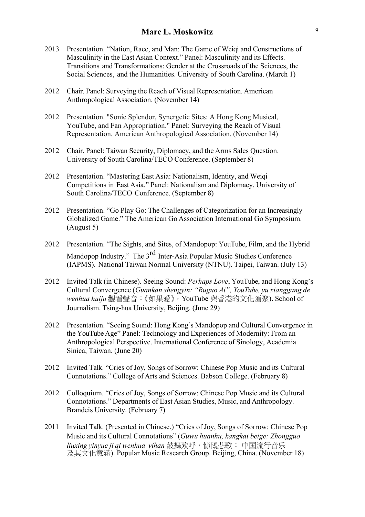- 2013 Presentation. "Nation, Race, and Man: The Game of Weiqi and Constructions of Masculinity in the East Asian Context." Panel: Masculinity and its Effects. Transitions and Transformations: Gender at the Crossroads of the Sciences, the Social Sciences, and the Humanities. University of South Carolina. (March 1)
- 2012 Chair. Panel: Surveying the Reach of Visual Representation. American Anthropological Association. (November 14)
- 2012 Presentation. "Sonic Splendor, Synergetic Sites: A Hong Kong Musical, YouTube, and Fan Appropriation." Panel: Surveying the Reach of Visual Representation. American Anthropological Association. (November 14)
- 2012 Chair. Panel: Taiwan Security, Diplomacy, and the Arms Sales Question. University of South Carolina/TECO Conference. (September 8)
- 2012 Presentation. "Mastering East Asia: Nationalism, Identity, and Weiqi Competitions in East Asia." Panel: Nationalism and Diplomacy. University of South Carolina/TECO Conference. (September 8)
- 2012 Presentation. "Go Play Go: The Challenges of Categorization for an Increasingly Globalized Game." The American Go Association International Go Symposium. (August 5)
- 2012 Presentation. "The Sights, and Sites, of Mandopop: YouTube, Film, and the Hybrid Mandopop Industry." The 3<sup>rd</sup> Inter-Asia Popular Music Studies Conference (IAPMS). National Taiwan Normal University (NTNU). Taipei, Taiwan. (July 13)
- 2012 Invited Talk (in Chinese). Seeing Sound: *Perhaps Love*, YouTube, and Hong Kong's Cultural Convergence (*Guankan shengyin: "Ruguo Ai", YouTube, yu xianggang de wenhua huiju* 觀看聲音:《如果愛》,YouTube 與香港的文化匯聚). School of Journalism. Tsing-hua University, Beijing. (June 29)
- 2012 Presentation. "Seeing Sound: Hong Kong's Mandopop and Cultural Convergence in the YouTube Age" Panel: Technology and Experiences of Modernity: From an Anthropological Perspective. International Conference of Sinology, Academia Sinica, Taiwan. (June 20)
- 2012 Invited Talk. "Cries of Joy, Songs of Sorrow: Chinese Pop Music and its Cultural Connotations." College of Arts and Sciences. Babson College. (February 8)
- 2012 Colloquium. "Cries of Joy, Songs of Sorrow: Chinese Pop Music and its Cultural Connotations." Departments of East Asian Studies, Music, and Anthropology. Brandeis University. (February 7)
- 2011 Invited Talk. (Presented in Chinese.) "Cries of Joy, Songs of Sorrow: Chinese Pop Music and its Cultural Connotations" (*Guwu huanhu, kangkai beige: Zhongguo liuxing yinyue ji qi wenhua yihan* 鼓舞欢呼,慷慨悲歌: 中国流行音乐 及其文化意涵). Popular Music Research Group. Beijing, China. (November 18)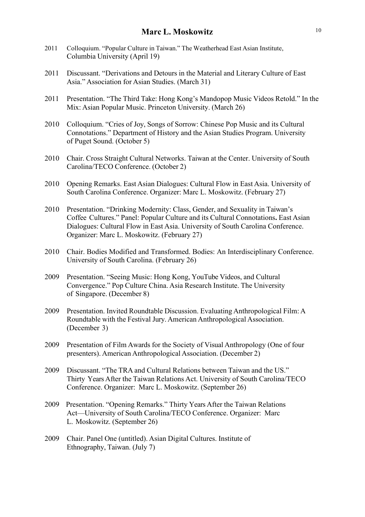- 2011 Colloquium. "Popular Culture in Taiwan." The Weatherhead East Asian Institute, Columbia University (April 19)
- 2011 Discussant. "Derivations and Detours in the Material and Literary Culture of East Asia." Association for Asian Studies. (March 31)
- 2011 Presentation. "The Third Take: Hong Kong's Mandopop Music Videos Retold." In the Mix: Asian Popular Music. Princeton University. (March 26)
- 2010 Colloquium. "Cries of Joy, Songs of Sorrow: Chinese Pop Music and its Cultural Connotations." Department of History and the Asian Studies Program. University of Puget Sound. (October 5)
- 2010 Chair. Cross Straight Cultural Networks. Taiwan at the Center. University of South Carolina/TECO Conference. (October 2)
- 2010 Opening Remarks. East Asian Dialogues: Cultural Flow in East Asia. University of South Carolina Conference. Organizer: Marc L. Moskowitz. (February 27)
- 2010 Presentation. "Drinking Modernity: Class, Gender, and Sexuality in Taiwan's Coffee Cultures." Panel: Popular Culture and its Cultural Connotations**.** East Asian Dialogues: Cultural Flow in East Asia. University of South Carolina Conference. Organizer: Marc L. Moskowitz. (February 27)
- 2010 Chair. Bodies Modified and Transformed. Bodies: An Interdisciplinary Conference. University of South Carolina. (February 26)
- 2009 Presentation. "Seeing Music: Hong Kong, YouTube Videos, and Cultural Convergence." Pop Culture China. Asia Research Institute. The University of Singapore. (December 8)
- 2009 Presentation. Invited Roundtable Discussion. Evaluating Anthropological Film: A Roundtable with the Festival Jury. American Anthropological Association. (December 3)
- 2009 Presentation of Film Awards for the Society of Visual Anthropology (One of four presenters). American Anthropological Association. (December 2)
- 2009 Discussant. "The TRA and Cultural Relations between Taiwan and the US." Thirty Years After the Taiwan Relations Act. University of South Carolina/TECO Conference. Organizer: Marc L. Moskowitz. (September 26)
- 2009 Presentation. "Opening Remarks." Thirty Years After the Taiwan Relations Act—University of South Carolina/TECO Conference. Organizer: Marc L. Moskowitz. (September 26)
- 2009 Chair. Panel One (untitled). Asian Digital Cultures. Institute of Ethnography, Taiwan. (July 7)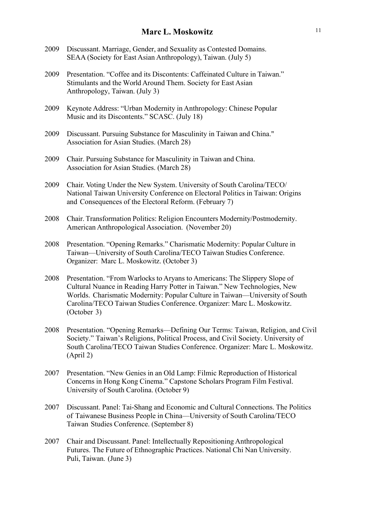- 2009 Discussant. Marriage, Gender, and Sexuality as Contested Domains. SEAA (Society for East Asian Anthropology), Taiwan. (July 5)
- 2009 Presentation. "Coffee and its Discontents: Caffeinated Culture in Taiwan." Stimulants and the World Around Them. Society for East Asian Anthropology, Taiwan. (July 3)
- 2009 Keynote Address: "Urban Modernity in Anthropology: Chinese Popular Music and its Discontents." SCASC. (July 18)
- 2009 Discussant. Pursuing Substance for Masculinity in Taiwan and China." Association for Asian Studies. (March 28)
- 2009 Chair. Pursuing Substance for Masculinity in Taiwan and China. Association for Asian Studies. (March 28)
- 2009 Chair. Voting Under the New System. University of South Carolina/TECO/ National Taiwan University Conference on Electoral Politics in Taiwan: Origins and Consequences of the Electoral Reform. (February 7)
- 2008 Chair. Transformation Politics: Religion Encounters Modernity/Postmodernity. American Anthropological Association. (November 20)
- 2008 Presentation. "Opening Remarks." Charismatic Modernity: Popular Culture in Taiwan—University of South Carolina/TECO Taiwan Studies Conference. Organizer: Marc L. Moskowitz. (October 3)
- 2008 Presentation. "From Warlocks to Aryans to Americans: The Slippery Slope of Cultural Nuance in Reading Harry Potter in Taiwan." New Technologies, New Worlds. Charismatic Modernity: Popular Culture in Taiwan—University of South Carolina/TECO Taiwan Studies Conference. Organizer: Marc L. Moskowitz. (October 3)
- 2008 Presentation. "Opening Remarks—Defining Our Terms: Taiwan, Religion, and Civil Society." Taiwan's Religions, Political Process, and Civil Society. University of South Carolina/TECO Taiwan Studies Conference. Organizer: Marc L. Moskowitz. (April 2)
- 2007 Presentation. "New Genies in an Old Lamp: Filmic Reproduction of Historical Concerns in Hong Kong Cinema." Capstone Scholars Program Film Festival. University of South Carolina. (October 9)
- 2007 Discussant. Panel: Tai-Shang and Economic and Cultural Connections. The Politics of Taiwanese Business People in China—University of South Carolina/TECO Taiwan Studies Conference. (September 8)
- 2007 Chair and Discussant. Panel: Intellectually Repositioning Anthropological Futures. The Future of Ethnographic Practices. National Chi Nan University. Puli, Taiwan. (June 3)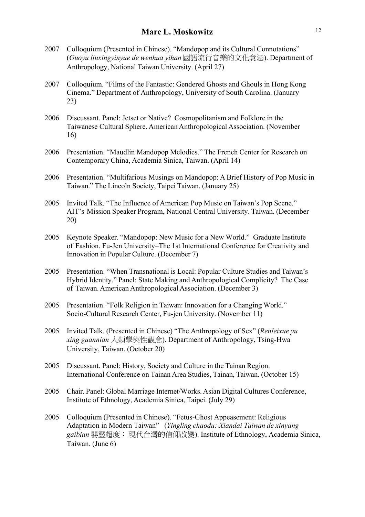- 2007 Colloquium (Presented in Chinese). "Mandopop and its Cultural Connotations" (*Guoyu liuxingyinyue de wenhua yihan* 國語流行音樂的文化意涵). Department of Anthropology, National Taiwan University. (April 27)
- 2007 Colloquium. "Films of the Fantastic: Gendered Ghosts and Ghouls in Hong Kong Cinema." Department of Anthropology, University of South Carolina. (January 23)
- 2006 Discussant. Panel: Jetset or Native? Cosmopolitanism and Folklore in the Taiwanese Cultural Sphere. American Anthropological Association. (November 16)
- 2006 Presentation. "Maudlin Mandopop Melodies." The French Center for Research on Contemporary China, Academia Sinica, Taiwan. (April 14)
- 2006 Presentation. "Multifarious Musings on Mandopop: A Brief History of Pop Music in Taiwan." The Lincoln Society, Taipei Taiwan. (January 25)
- 2005 Invited Talk. "The Influence of American Pop Music on Taiwan's Pop Scene." AIT's Mission Speaker Program, National Central University. Taiwan. (December 20)
- 2005 Keynote Speaker. "Mandopop: New Music for a New World." Graduate Institute of Fashion. Fu-Jen University–The 1st International Conference for Creativity and Innovation in Popular Culture. (December 7)
- 2005 Presentation. "When Transnational is Local: Popular Culture Studies and Taiwan's Hybrid Identity." Panel: State Making and Anthropological Complicity? The Case of Taiwan. American Anthropological Association. (December 3)
- 2005 Presentation. "Folk Religion in Taiwan: Innovation for a Changing World." Socio-Cultural Research Center, Fu-jen University. (November 11)
- 2005 Invited Talk. (Presented in Chinese) "The Anthropology of Sex" (*Renleixue yu xing guannian* 人類學與性觀念). Department of Anthropology, Tsing-Hwa University, Taiwan. (October 20)
- 2005 Discussant. Panel: History, Society and Culture in the Tainan Region. International Conference on Tainan Area Studies, Tainan, Taiwan. (October 15)
- 2005 Chair. Panel: Global Marriage Internet/Works. Asian Digital Cultures Conference, Institute of Ethnology, Academia Sinica, Taipei. (July 29)
- 2005 Colloquium (Presented in Chinese). "Fetus-Ghost Appeasement: Religious Adaptation in Modern Taiwan" (*Yingling chaodu: Xiandai Taiwan de xinyang gaibian* 嬰靈超度:現代台灣的信仰改變). Institute of Ethnology, Academia Sinica, Taiwan. (June 6)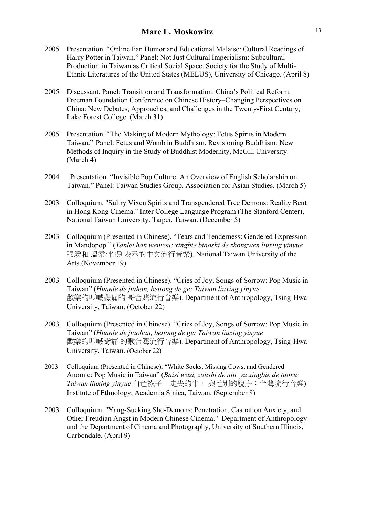- 2005 Presentation. "Online Fan Humor and Educational Malaise: Cultural Readings of Harry Potter in Taiwan." Panel: Not Just Cultural Imperialism: Subcultural Production in Taiwan as Critical Social Space. Society for the Study of Multi-Ethnic Literatures of the United States (MELUS), University of Chicago. (April 8)
- 2005 Discussant. Panel: Transition and Transformation: China's Political Reform. Freeman Foundation Conference on Chinese History–Changing Perspectives on China: New Debates, Approaches, and Challenges in the Twenty-First Century, Lake Forest College. (March 31)
- 2005 Presentation. "The Making of Modern Mythology: Fetus Spirits in Modern Taiwan." Panel: Fetus and Womb in Buddhism. Revisioning Buddhism: New Methods of Inquiry in the Study of Buddhist Modernity, McGill University. (March 4)
- 2004 Presentation. "Invisible Pop Culture: An Overview of English Scholarship on Taiwan." Panel: Taiwan Studies Group. Association for Asian Studies. (March 5)
- 2003 Colloquium. "Sultry Vixen Spirits and Transgendered Tree Demons: Reality Bent in Hong Kong Cinema." Inter College Language Program (The Stanford Center), National Taiwan University. Taipei, Taiwan. (December 5)
- 2003 Colloquium (Presented in Chinese). "Tears and Tenderness: Gendered Expression in Mandopop." (*Yanlei han wenrou: xingbie biaoshi de zhongwen liuxing yinyue* 眼淚和 溫柔: 性別表示的中文流行音樂). National Taiwan University of the Arts.(November 19)
- 2003 Colloquium (Presented in Chinese). "Cries of Joy, Songs of Sorrow: Pop Music in Taiwan" (*Huanle de jiahan, beitong de ge: Taiwan liuxing yinyue* 歡樂的叫喊悲痛的 哥台灣流行音樂). Department of Anthropology, Tsing-Hwa University, Taiwan. (October 22)
- 2003 Colloquium (Presented in Chinese). "Cries of Joy, Songs of Sorrow: Pop Music in Taiwan" (*Huanle de jiaohan, beitong de ge: Taiwan liuxing yinyue* 歡樂的叫喊背痛 的歌台灣流行音樂). Department of Anthropology, Tsing-Hwa University, Taiwan. (October 22)
- 2003 Colloquium (Presented in Chinese). "White Socks, Missing Cows, and Gendered Anomie: Pop Music in Taiwan" (*Baisi wazi, zoushi de niu, yu xingbie de tuoxu: Taiwan liuxing yinyue* 白色襪子,走失的牛, 與性別的脫序:台灣流行音樂). Institute of Ethnology, Academia Sinica, Taiwan. (September 8)
- 2003 Colloquium. "Yang-Sucking She-Demons: Penetration, Castration Anxiety, and Other Freudian Angst in Modern Chinese Cinema." Department of Anthropology and the Department of Cinema and Photography, University of Southern Illinois, Carbondale. (April 9)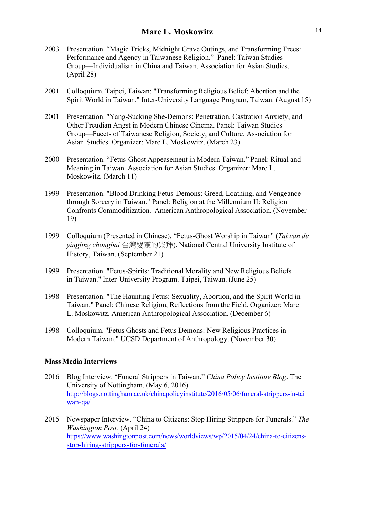- 2003 Presentation. "Magic Tricks, Midnight Grave Outings, and Transforming Trees: Performance and Agency in Taiwanese Religion." Panel: Taiwan Studies Group—Individualism in China and Taiwan. Association for Asian Studies. (April 28)
- 2001 Colloquium. Taipei, Taiwan: "Transforming Religious Belief: Abortion and the Spirit World in Taiwan." Inter-University Language Program, Taiwan. (August 15)
- 2001 Presentation. "Yang-Sucking She-Demons: Penetration, Castration Anxiety, and Other Freudian Angst in Modern Chinese Cinema. Panel: Taiwan Studies Group—Facets of Taiwanese Religion, Society, and Culture. Association for Asian Studies. Organizer: Marc L. Moskowitz. (March 23)
- 2000 Presentation. "Fetus-Ghost Appeasement in Modern Taiwan." Panel: Ritual and Meaning in Taiwan. Association for Asian Studies. Organizer: Marc L. Moskowitz. (March 11)
- 1999 Presentation. "Blood Drinking Fetus-Demons: Greed, Loathing, and Vengeance through Sorcery in Taiwan." Panel: Religion at the Millennium II: Religion Confronts Commoditization. American Anthropological Association. (November 19)
- 1999 Colloquium (Presented in Chinese). "Fetus-Ghost Worship in Taiwan" (*Taiwan de yingling chongbai* 台灣嬰靈的崇拜). National Central University Institute of History, Taiwan. (September 21)
- 1999 Presentation. "Fetus-Spirits: Traditional Morality and New Religious Beliefs in Taiwan." Inter-University Program. Taipei, Taiwan. (June 25)
- 1998 Presentation. "The Haunting Fetus: Sexuality, Abortion, and the Spirit World in Taiwan." Panel: Chinese Religion, Reflections from the Field. Organizer: Marc L. Moskowitz. American Anthropological Association. (December 6)
- 1998 Colloquium. "Fetus Ghosts and Fetus Demons: New Religious Practices in Modern Taiwan." UCSD Department of Anthropology. (November 30)

### **Mass Media Interviews**

- 2016 Blog Interview. "Funeral Strippers in Taiwan." *China Policy Institute Blog*. The University of Nottingham. (May 6, 2016) http://blogs.nottingham.ac.uk/chinapolicyinstitute/2016/05/06/funeral-strippers-in-tai wan-qa/
- 2015 Newspaper Interview. "China to Citizens: Stop Hiring Strippers for Funerals." *The Washington Post.* (April 24) https://www.washingtonpost.com/news/worldviews/wp/2015/04/24/china-to-citizensstop-hiring-strippers-for-funerals/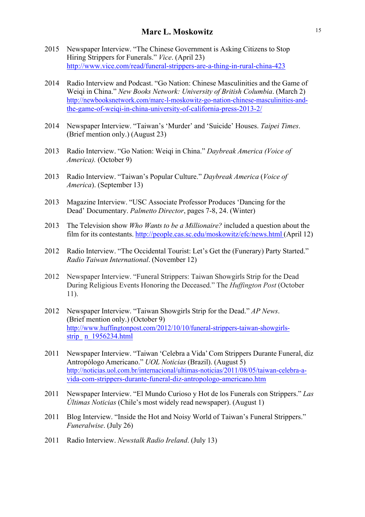- 2015 Newspaper Interview. "The Chinese Government is Asking Citizens to Stop Hiring Strippers for Funerals." *Vice*. (April 23) http://www.vice.com/read/funeral-strippers-are-a-thing-in-rural-china-423
- 2014 Radio Interview and Podcast. "Go Nation: Chinese Masculinities and the Game of Weiqi in China." *New Books Network: University of British Columbia*. (March 2) http://newbooksnetwork.com/marc-l-moskowitz-go-nation-chinese-masculinities-andthe-game-of-weiqi-in-china-university-of-california-press-2013-2/
- 2014 Newspaper Interview. "Taiwan's 'Murder' and 'Suicide' Houses. *Taipei Times*. (Brief mention only.) (August 23)
- 2013 Radio Interview. "Go Nation: Weiqi in China." *Daybreak America (Voice of America).* (October 9)
- 2013 Radio Interview. "Taiwan's Popular Culture." *Daybreak America* (*Voice of America*). (September 13)
- 2013 Magazine Interview. "USC Associate Professor Produces 'Dancing for the Dead' Documentary. *Palmetto Director*, pages 7-8, 24. (Winter)
- 2013 The Television show *Who Wants to be a Millionaire?* included a question about the film for its contestants. http://people.cas.sc.edu/moskowitz/efc/news.html (April 12)
- 2012 Radio Interview. "The Occidental Tourist: Let's Get the (Funerary) Party Started." *Radio Taiwan International*. (November 12)
- 2012 Newspaper Interview. "Funeral Strippers: Taiwan Showgirls Strip for the Dead During Religious Events Honoring the Deceased." The *Huffington Post* (October 11).
- 2012 Newspaper Interview. "Taiwan Showgirls Strip for the Dead." *AP News*. (Brief mention only.) (October 9) http://www.huffingtonpost.com/2012/10/10/funeral-strippers-taiwan-showgirlsstrip\_ n\_1956234.html
- 2011 Newspaper Interview. "Taiwan 'Celebra a Vida'Com Strippers Durante Funeral, diz Antropólogo Americano." *UOL Noticias* (Brazil). (August 5) http://noticias.uol.com.br/internacional/ultimas-noticias/2011/08/05/taiwan-celebra-avida-com-strippers-durante-funeral-diz-antropologo-americano.htm
- 2011 Newspaper Interview. "El Mundo Curioso y Hot de los Funerals con Strippers." *Las Últimas Noticias* (Chile's most widely read newspaper). (August 1)
- 2011 Blog Interview. "Inside the Hot and Noisy World of Taiwan's Funeral Strippers." *Funeralwise*. (July 26)
- 2011 Radio Interview. *Newstalk Radio Ireland*. (July 13)